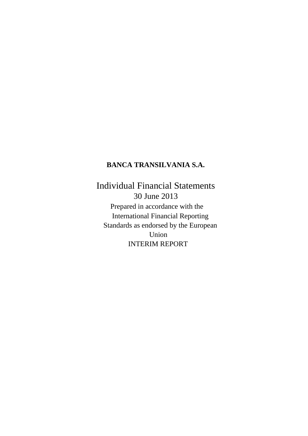## **BANCA TRANSILVANIA S.A.**

Individual Financial Statements 30 June 2013 Prepared in accordance with the International Financial Reporting Standards as endorsed by the European Union INTERIM REPORT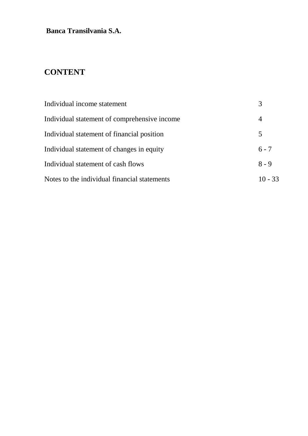# **CONTENT**

| Individual income statement                  |           |
|----------------------------------------------|-----------|
| Individual statement of comprehensive income | 4         |
| Individual statement of financial position   | 5         |
| Individual statement of changes in equity    | $6 - 7$   |
| Individual statement of cash flows           | $8 - 9$   |
| Notes to the individual financial statements | $10 - 33$ |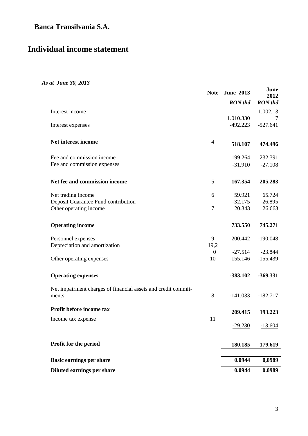# **Individual income statement**

### *As at June 30, 2013*

|                                                               | <b>Note</b>    | <b>June 2013</b> | June<br>2012   |
|---------------------------------------------------------------|----------------|------------------|----------------|
|                                                               |                | <b>RON</b> thd   | <b>RON</b> thd |
| Interest income                                               |                |                  | 1.002.13       |
|                                                               |                | 1.010.330        | $\tau$         |
| Interest expenses                                             |                | $-492.223$       | $-527.641$     |
| Net interest income                                           | $\overline{4}$ | 518.107          | 474.496        |
| Fee and commission income                                     |                | 199.264          | 232.391        |
| Fee and commission expenses                                   |                | $-31.910$        | $-27.108$      |
| Net fee and commission income                                 | 5              | 167.354          | 205.283        |
| Net trading income                                            | 6              | 59.921           | 65.724         |
| Deposit Guarantee Fund contribution                           |                | $-32.175$        | $-26.895$      |
| Other operating income                                        | $\tau$         | 20.343           | 26.663         |
| <b>Operating income</b>                                       |                | 733.550          | 745.271        |
| Personnel expenses                                            | 9              | $-200.442$       | $-190.048$     |
| Depreciation and amortization                                 | 19,2           |                  |                |
|                                                               | $\overline{0}$ | $-27.514$        | $-23.844$      |
| Other operating expenses                                      | 10             | $-155.146$       | $-155.439$     |
| <b>Operating expenses</b>                                     |                | $-383.102$       | $-369.331$     |
| Net impairment charges of financial assets and credit commit- |                |                  |                |
| ments                                                         | 8              | $-141.033$       | $-182.717$     |
| Profit before income tax                                      |                | 209.415          | 193.223        |
| Income tax expense                                            | 11             |                  |                |
|                                                               |                | $-29.230$        | $-13.604$      |
| Profit for the period                                         |                | 180.185          | 179.619        |
|                                                               |                | 0.0944           |                |
| <b>Basic earnings per share</b>                               |                |                  | 0,0989         |
| Diluted earnings per share                                    |                | 0.0944           | 0.0989         |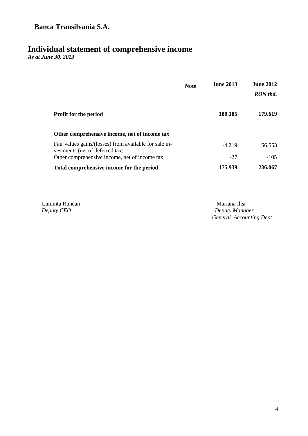# **Individual statement of comprehensive income**

*As at June 30, 2013*

|                                                                                           | <b>Note</b> | <b>June 2013</b> | <b>June 2012</b><br>RON thd. |
|-------------------------------------------------------------------------------------------|-------------|------------------|------------------------------|
| <b>Profit for the period</b>                                                              |             | 180.185          | 179.619                      |
| Other comprehensive income, net of income tax                                             |             |                  |                              |
| Fair values gains/(losses) from available for sale in-<br>vestments (net of deferred tax) |             | $-4.219$         | 56.553                       |
| Other comprehensive income, net of income tax                                             |             | $-27$            | $-105$                       |
| Total comprehensive income for the period                                                 |             | 175.939          | 236.067                      |

Luminta Runcan Mariana Ilea<br> *Deputy CEO* Deputy Mana

 $Deputy$  *Manager General Accounting Dept*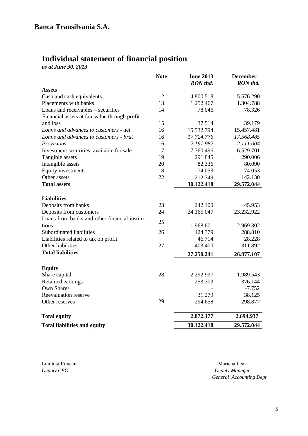# **Individual statement of financial position**

*as at June 30, 2013*

|                                               | <b>Note</b> | <b>June 2013</b><br>RON thd. | <b>December</b><br>RON thd. |
|-----------------------------------------------|-------------|------------------------------|-----------------------------|
| <b>Assets</b>                                 |             |                              |                             |
| Cash and cash equivalents                     | 12          | 4.800.518                    | 5.576.290                   |
| Placements with banks                         | 13          | 1.252.467                    | 1.304.788                   |
| Loans and receivables – securities            | 14          | 78.046                       | 78.326                      |
| Financial assets at fair value through profit |             |                              |                             |
| and loss                                      | 15          | 37.514                       | 39.179                      |
| Loans and advances to customers - net         | 16          | 15.532.794                   | 15.457.481                  |
| Loans and advances to customers - brut        | 16          | 17.724.776                   | 17.568.485                  |
| Provisions                                    | 16          | 2.191.982                    | 2.111.004                   |
| Investment securities, available for sale     | 17          | 7.760.496                    | 6.529.701                   |
| Tangible assets                               | 19          | 291.845                      | 290.006                     |
| Intangible assets                             | 20          | 82.336                       | 80.090                      |
| <b>Equity investments</b>                     | 18          | 74.053                       | 74.053                      |
| Other assets                                  | 22          | 212.349                      | 142.130                     |
| <b>Total assets</b>                           |             | 30.122.418                   | 29.572.044                  |
| <b>Liabilities</b>                            |             |                              |                             |
| Deposits from banks                           | 23          | 242.100                      | 45.953                      |
| Deposits from customers                       | 24          | 24.165.047                   | 23.232.922                  |
| Loans from banks and other financial institu- |             |                              |                             |
| tions                                         | 25          | 1.968.601                    | 2.969.302                   |
| Subordinated liabilities                      | 26          | 424.379                      | 288.810                     |
| Liabilities related to tax on profit          |             | 46.714                       | 28.228                      |
| Other liabilities                             | 27          | 403.400                      | 311.892                     |
| <b>Total liabilities</b>                      |             | 27.250.241                   | 26.877.107                  |
| <b>Equity</b>                                 |             |                              |                             |
| Share capital                                 | 28          | 2.292.937                    | 1.989.543                   |
| Retained earnings                             |             | 253.303                      | 376.144                     |
| <b>Own Shares</b>                             |             |                              | $-7.752$                    |
| Reevaluation reserve                          |             | 31.279                       | 38.125                      |
| Other reserves                                | 29          | 294.658                      | 298.877                     |
|                                               |             |                              |                             |
| <b>Total equity</b>                           |             | 2.872.177                    | 2.694.937                   |
| <b>Total liabilities and equity</b>           |             | 30.122.418                   | 29.572.044                  |

Luminta Runcan Mariana Ilea

*Deputy CEO Deputy Manager General Accounting Dept*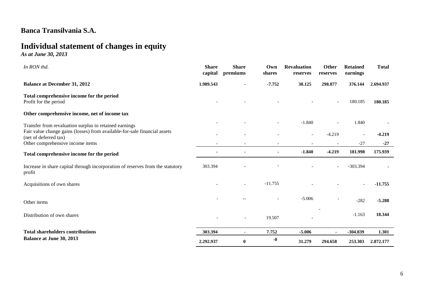# **Individual statement of changes in equity**

*As at June 30, 2013* 

| In RON thd.                                                                                        | <b>Share</b><br>capital | <b>Share</b><br>premiums | Own<br>shares            | <b>Revaluation</b><br>reserves | Other<br>reserves | <b>Retained</b><br>earnings | <b>Total</b> |
|----------------------------------------------------------------------------------------------------|-------------------------|--------------------------|--------------------------|--------------------------------|-------------------|-----------------------------|--------------|
| <b>Balance at December 31, 2012</b>                                                                | 1.989.543               |                          | $-7.752$                 | 38.125                         | 298.877           | 376.144                     | 2.694.937    |
| Total comprehensive income for the period<br>Profit for the period                                 |                         |                          |                          |                                |                   | 180.185                     | 180.185      |
| Other comprehensive income, net of income tax                                                      |                         |                          |                          |                                |                   |                             |              |
| Transfer from revaluation surplus to retained earnings                                             |                         |                          | $\overline{\phantom{a}}$ | $-1.840$                       | $\blacksquare$    | 1.840                       |              |
| Fair value change gains (losses) from available-for-sale financial assets<br>(net of deferred tax) |                         |                          |                          | $\overline{\phantom{a}}$       | $-4.219$          | $\overline{\phantom{a}}$    | $-4.219$     |
| Other comprehensive income items                                                                   |                         |                          |                          |                                |                   | $-27$                       | $-27$        |
| Total comprehensive income for the period                                                          |                         |                          |                          | $-1.840$                       | $-4.219$          | 181.998                     | 175.939      |
| Increase in share capital through incorporation of reserves from the statutory<br>profit           | 303.394                 |                          |                          |                                |                   | $-303.394$                  |              |
| Acquisitions of own shares                                                                         |                         |                          | $-11.755$                |                                |                   |                             | $-11.755$    |
| Other items                                                                                        |                         |                          |                          | $-5.006$                       |                   | $-282$                      | $-5.288$     |
| Distribution of own shares                                                                         |                         | $\overline{\phantom{a}}$ | 19.507                   |                                |                   | $-1.163$                    | 18.344       |
| <b>Total shareholders contributions</b>                                                            | 303.394                 |                          | 7.752                    | $-5.006$                       |                   | $-304.839$                  | 1.301        |
| <b>Balance at June 30, 2013</b>                                                                    | 2.292.937               | $\bf{0}$                 | $-0$                     | 31.279                         | 294.658           | 253.303                     | 2.872.177    |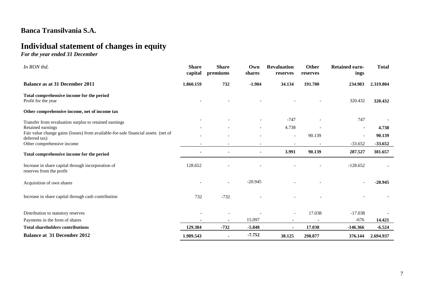# **Individual statement of changes in equity**

*For the year ended 31 December* 

| In RON thd.                                                                                        | <b>Share</b><br>capital | <b>Share</b><br>premiums | Own<br>shares            | <b>Revaluation</b><br>reserves | <b>Other</b><br>reserves | <b>Retained earn-</b><br>ings | <b>Total</b> |
|----------------------------------------------------------------------------------------------------|-------------------------|--------------------------|--------------------------|--------------------------------|--------------------------|-------------------------------|--------------|
| <b>Balance as at 31 December 2011</b>                                                              | 1.860.159               | 732                      | $-1.904$                 | 34.134                         | 191.700                  | 234.983                       | 2.319.804    |
| Total comprehensive income for the period<br>Profit for the year                                   |                         |                          |                          |                                |                          | 320.432                       | 320.432      |
| Other comprehensive income, net of income tax                                                      |                         |                          |                          |                                |                          |                               |              |
| Transfer from revaluation surplus to retained earnings                                             |                         |                          |                          | $-747$                         |                          | 747                           |              |
| Retained earnings                                                                                  |                         |                          | $\overline{\phantom{a}}$ | 4.738                          |                          | $\overline{\phantom{a}}$      | 4.738        |
| Fair value change gains (losses) from available-for-sale financial assets (net of<br>deferred tax) |                         |                          | $\overline{\phantom{a}}$ | $\overline{\phantom{a}}$       | 90.139                   | $\overline{\phantom{a}}$      | 90.139       |
| Other comprehensive income                                                                         |                         |                          |                          |                                |                          | $-33.652$                     | $-33.652$    |
| Total comprehensive income for the period                                                          |                         |                          | ۰.                       | 3.991                          | 90.139                   | 287.527                       | 381.657      |
| Increase in share capital through incorporation of<br>reserves from the profit                     | 128.652                 |                          |                          |                                |                          | $-128.652$                    |              |
| Acquisition of own shares                                                                          |                         | $\overline{a}$           | $-20.945$                |                                |                          | $\overline{\phantom{a}}$      | $-20.945$    |
| Increase in share capital through cash contribution                                                | 732                     | $-732$                   |                          |                                |                          |                               |              |
| Distribution to statutory reserves                                                                 |                         |                          |                          | $\overline{\phantom{a}}$       | 17.038                   | $-17.038$                     |              |
| Payments in the form of shares                                                                     | $\blacksquare$          | $\blacksquare$           | 15.097                   | $\blacksquare$                 | $\blacksquare$           | $-676$                        | 14.421       |
| <b>Total shareholders contributions</b>                                                            | 129.384                 | $-732$                   | $-5.848$                 | $\blacksquare$                 | 17.038                   | $-146.366$                    | $-6.524$     |
| <b>Balance at 31 December 2012</b>                                                                 | 1.989.543               | $\blacksquare$           | $-7.752$                 | 38.125                         | 298.877                  | 376.144                       | 2.694.937    |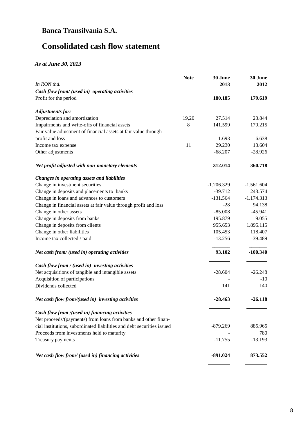# **Consolidated cash flow statement**

### *As at June 30, 2013*

| In RON thd.                                                             | <b>Note</b> | 30 June<br>2013 | 30 June<br>2012 |
|-------------------------------------------------------------------------|-------------|-----------------|-----------------|
|                                                                         |             |                 |                 |
| Cash flow from/ (used in) operating activities<br>Profit for the period |             | 180.185         | 179.619         |
|                                                                         |             |                 |                 |
| <b>Adjustments for:</b>                                                 |             |                 |                 |
| Depreciation and amortization                                           | 19,20       | 27.514          | 23.844          |
| Impairments and write-offs of financial assets                          | 8           | 141.599         | 179.215         |
| Fair value adjustment of financial assets at fair value through         |             |                 |                 |
| profit and loss                                                         |             | 1.693           | $-6.638$        |
| Income tax expense                                                      | 11          | 29.230          | 13.604          |
| Other adjustments                                                       |             | $-68.207$       | $-28.926$       |
|                                                                         |             |                 |                 |
| Net profit adjusted with non-monetary elements                          |             | 312.014         | 360.718         |
| Changes in operating assets and liabilities                             |             |                 |                 |
| Change in investment securities                                         |             | $-1.206.329$    | $-1.561.604$    |
| Change in deposits and placements to banks                              |             | $-39.712$       | 243.574         |
| Change in loans and advances to customers                               |             | $-131.564$      | $-1.174.313$    |
| Change in financial assets at fair value through profit and loss        |             | $-28$           | 94.138          |
| Change in other assets                                                  |             | $-85.008$       | $-45.941$       |
| Change in deposits from banks                                           |             | 195.879         | 9.055           |
| Change in deposits from clients                                         |             | 955.653         | 1.895.115       |
| Change in other liabilities                                             |             | 105.453         | 118.407         |
| Income tax collected / paid                                             |             | $-13.256$       | $-39.489$       |
| Net cash from/ (used in) operating activities                           |             | 93.102          | $-100.340$      |
|                                                                         |             |                 |                 |
| Cash flow from / (used in) investing activities                         |             |                 |                 |
| Net acquisitions of tangible and intangible assets                      |             | $-28.604$       | $-26.248$       |
| Acquisition of participations                                           |             |                 | $-10$           |
| Dividends collected                                                     |             | 141             | 140             |
| Net cash flow from/(used in) investing activities                       |             | $-28.463$       | $-26.118$       |
| Cash flow from /(used in) financing activities                          |             |                 |                 |
| Net proceeds/(payments) from loans from banks and other finan-          |             |                 |                 |
| cial institutions, subordinated liabilities and debt securities issued  |             | $-879.269$      | 885.965         |
| Proceeds from investments held to maturity                              |             |                 | 780             |
| Treasury payments                                                       |             | $-11.755$       | $-13.193$       |
| Net cash flow from/ (used in) financing activities                      |             | $-891.024$      | 873.552         |
|                                                                         |             |                 |                 |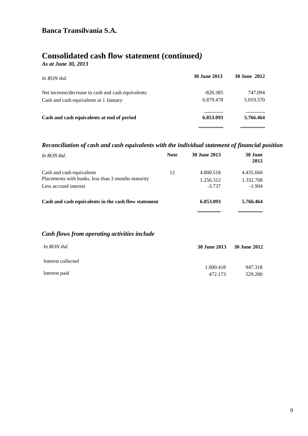# **Consolidated cash flow statement (continued***)*

*As at June 30, 2013*

| In RON thd.                                        | 30 June 2013 | <b>30 June 2012</b> |
|----------------------------------------------------|--------------|---------------------|
| Net increase/decrease in cash and cash equivalents | $-826.385$   | 747.094             |
| Cash and cash equivalents at 1 January             | 6.879.478    | 5.019.370           |
| Cash and cash equivalents at end of period         | 6.053.093    | 5.766.464           |
|                                                    |              |                     |

### *Reconciliation of cash and cash equivalents with the individual statement of financial position*

| In RON thd.                                                                                              | <b>Note</b> | 30 June 2013                       | 30 June<br>2012                    |
|----------------------------------------------------------------------------------------------------------|-------------|------------------------------------|------------------------------------|
| Cash and cash equivalents<br>Placements with banks, less than 3 months maturity<br>Less accrued interest | 12          | 4.800.518<br>1.256.312<br>$-3.737$ | 4.435.660<br>1.332.708<br>$-1.904$ |
| Cash and cash equivalents in the cash flow statement                                                     |             | 6.053.093                          | 5.766.464                          |

### *Cash flows from operating activities include*

| In RON thd.        | 30 June 2013 | 30 June 2012 |
|--------------------|--------------|--------------|
| Interest collected |              |              |
|                    | 1.000.418    | 947.318      |
| Interest paid      | 472.173      | 529.280      |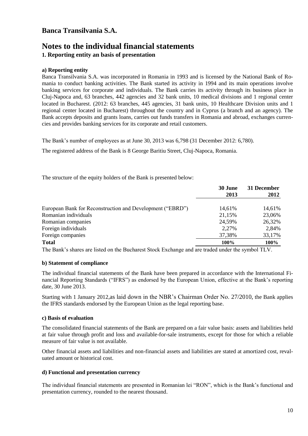### **Notes to the individual financial statements 1. Reporting entity an basis of presentation**

### **a) Reporting entity**

Banca Transilvania S.A. was incorporated in Romania in 1993 and is licensed by the National Bank of Romania to conduct banking activities. The Bank started its activity in 1994 and its main operations involve banking services for corporate and individuals. The Bank carries its activity through its business place in Cluj-Napoca and, 63 branches, 442 agencies and 32 bank units, 10 medical divisions and 1 regional center located in Bucharest. (2012: 63 branches, 445 agencies, 31 bank units, 10 Healthcare Division units and 1 regional center located in Bucharest) throughout the country and in Cyprus (a branch and an agency). The Bank accepts deposits and grants loans, carries out funds transfers in Romania and abroad, exchanges currencies and provides banking services for its corporate and retail customers.

The Bank's number of employees as at June 30, 2013 was 6,798 (31 December 2012: 6,780).

The registered address of the Bank is 8 George Baritiu Street, Cluj-Napoca, Romania.

The structure of the equity holders of the Bank is presented below:

|                                                           | 30 June | 31 December |
|-----------------------------------------------------------|---------|-------------|
|                                                           | 2013    | 2012        |
| European Bank for Reconstruction and Development ("EBRD") | 14,61%  | 14,61%      |
| Romanian individuals                                      | 21,15%  | 23,06%      |
| Romanian companies                                        | 24,59%  | 26,32%      |
| Foreign individuals                                       | 2,27%   | 2,84%       |
| Foreign companies                                         | 37,38%  | 33,17%      |
| <b>Total</b>                                              | 100%    | 100%        |

The Bank's shares are listed on the Bucharest Stock Exchange and are traded under the symbol TLV.

#### **b) Statement of compliance**

The individual financial statements of the Bank have been prepared in accordance with the International Financial Reporting Standards ("IFRS") as endorsed by the European Union, effective at the Bank's reporting date, 30 June 2013.

Starting with 1 January 2012,as laid down in the NBR's Chairman Order No. 27/2010, the Bank applies the IFRS standards endorsed by the European Union as the legal reporting base.

#### **c) Basis of evaluation**

The consolidated financial statements of the Bank are prepared on a fair value basis: assets and liabilities held at fair value through profit and loss and available-for-sale instruments, except for those for which a reliable measure of fair value is not available.

Other financial assets and liabilities and non-financial assets and liabilities are stated at amortized cost, revaluated amount or historical cost.

#### **d) Functional and presentation currency**

The individual financial statements are presented in Romanian lei "RON", which is the Bank's functional and presentation currency, rounded to the nearest thousand.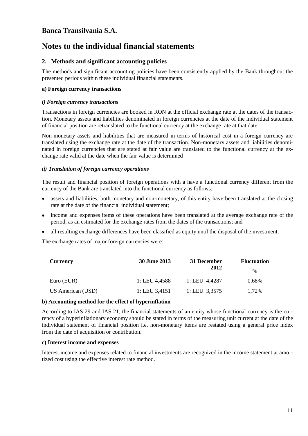## **Notes to the individual financial statements**

### **2. Methods and significant accounting policies**

The methods and significant accounting policies have been consistently applied by the Bank throughout the presented periods within these individual financial statements.

### **a) Foreign currency transactions**

### *i) Foreign currency transactions*

Transactions in foreign currencies are booked in RON at the official exchange rate at the dates of the transaction. Monetary assets and liabilities denominated in foreign currencies at the date of the individual statement of financial position are retranslated to the functional currency at the exchange rate at that date.

Non-monetary assets and liabilities that are measured in terms of historical cost in a foreign currency are translated using the exchange rate at the date of the transaction. Non-monetary assets and liabilities denominated in foreign currencies that are stated at fair value are translated to the functional currency at the exchange rate valid at the date when the fair value is determined

### *ii) Translation of foreign currency operations*

The result and financial position of foreign operations with a have a functional currency different from the currency of the Bank are translated into the functional currency as follows:

- assets and liabilities, both monetary and non-monetary, of this entity have been translated at the closing  $\bullet$ rate at the date of the financial individual statement;
- income and expenses items of these operations have been translated at the average exchange rate of the period, as an estimated for the exchange rates from the dates of the transactions; and
- all resulting exchange differences have been classified as equity until the disposal of the investment.

The exchange rates of major foreign currencies were:

| Currency          | <b>30 June 2013</b> | 31 December     | <b>Fluctuation</b> |  |
|-------------------|---------------------|-----------------|--------------------|--|
|                   |                     | 2012            | $\frac{0}{0}$      |  |
| Euro (EUR)        | 1: LEU 4.4588       | 1: LEU $4,4287$ | 0,68%              |  |
| US American (USD) | 1: LEU $3,4151$     | 1: LEU $3,3575$ | 1.72%              |  |

#### **b) Accounting method for the effect of hyperinflation**

According to IAS 29 and IAS 21, the financial statements of an entity whose functional currency is the currency of a hyperinflationary economy should be stated in terms of the measuring unit current at the date of the individual statement of financial position i.e. non-monetary items are restated using a general price index from the date of acquisition or contribution.

#### **c) Interest income and expenses**

Interest income and expenses related to financial investments are recognized in the income statement at amortized cost using the effective interest rate method.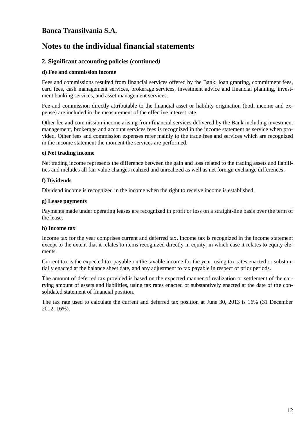## **Notes to the individual financial statements**

### **2. Significant accounting policies (continued***)*

### **d) Fee and commission income**

Fees and commissions resulted from financial services offered by the Bank: loan granting, commitment fees, card fees, cash management services, brokerage services, investment advice and financial planning, investment banking services, and asset management services.

Fee and commission directly attributable to the financial asset or liability origination (both income and expense) are included in the measurement of the effective interest rate.

Other fee and commission income arising from financial services delivered by the Bank including investment management, brokerage and account services fees is recognized in the income statement as service when provided. Other fees and commission expenses refer mainly to the trade fees and services which are recognized in the income statement the moment the services are performed.

### **e) Net trading income**

Net trading income represents the difference between the gain and loss related to the trading assets and liabilities and includes all fair value changes realized and unrealized as well as net foreign exchange differences.

### **f) Dividends**

Dividend income is recognized in the income when the right to receive income is established.

### **g) Lease payments**

Payments made under operating leases are recognized in profit or loss on a straight-line basis over the term of the lease.

### **h) Income tax**

Income tax for the year comprises current and deferred tax. Income tax is recognized in the income statement except to the extent that it relates to items recognized directly in equity, in which case it relates to equity elements.

Current tax is the expected tax payable on the taxable income for the year, using tax rates enacted or substantially enacted at the balance sheet date, and any adjustment to tax payable in respect of prior periods.

The amount of deferred tax provided is based on the expected manner of realization or settlement of the carrying amount of assets and liabilities, using tax rates enacted or substantively enacted at the date of the consolidated statement of financial position.

The tax rate used to calculate the current and deferred tax position at June 30, 2013 is 16% (31 December 2012: 16%).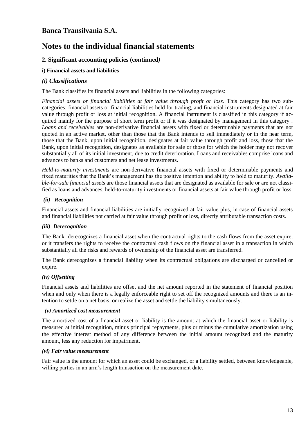## **Notes to the individual financial statements**

### **2. Significant accounting policies (continued***)*

### **i) Financial assets and liabilities**

### *(i) Classifications*

The Bank classifies its financial assets and liabilities in the following categories:

*Financial assets or financial liabilities at fair value through profit or loss*. This category has two subcategories: financial assets or financial liabilities held for trading, and financial instruments designated at fair value through profit or loss at initial recognition. A financial instrument is classified in this category if acquired mainly for the purpose of short term profit or if it was designated by management in this category . *Loans and receivables* are non-derivative financial assets with fixed or determinable payments that are not quoted in an active market, other than those that the Bank intends to sell immediately or in the near term, those that the Bank, upon initial recognition, designates at fair value through profit and loss, those that the Bank, upon initial recognition, designates as available for sale or those for which the holder may not recover substantially all of its initial investment, due to credit deterioration. Loans and receivables comprise loans and advances to banks and customers and net lease investments.

*Held-to-maturity investments* are non-derivative financial assets with fixed or determinable payments and fixed maturities that the Bank's management has the positive intention and ability to hold to maturity. *Available-for-sale financial assets* are those financial assets that are designated as available for sale or are not classified as loans and advances, held-to-maturity investments or financial assets at fair value through profit or loss.

### *(ii) Recognition*

Financial assets and financial liabilities are initially recognized at fair value plus, in case of financial assets and financial liabilities not carried at fair value through profit or loss, directly attributable transaction costs.

### *(iii) Derecognition*

The Bank derecognizes a financial asset when the contractual rights to the cash flows from the asset expire, or it transfers the rights to receive the contractual cash flows on the financial asset in a transaction in which substantially all the risks and rewards of ownership of the financial asset are transferred.

The Bank derecognizes a financial liability when its contractual obligations are discharged or cancelled or expire.

### *(iv) Offsetting*

Financial assets and liabilities are offset and the net amount reported in the statement of financial position when and only when there is a legally enforceable right to set off the recognized amounts and there is an intention to settle on a net basis, or realize the asset and settle the liability simultaneously.

#### *(v) Amortized cost measurement*

The amortized cost of a financial asset or liability is the amount at which the financial asset or liability is measured at initial recognition, minus principal repayments, plus or minus the cumulative amortization using the effective interest method of any difference between the initial amount recognized and the maturity amount, less any reduction for impairment.

#### *(vi) Fair value measurement*

Fair value is the amount for which an asset could be exchanged, or a liability settled, between knowledgeable, willing parties in an arm's length transaction on the measurement date.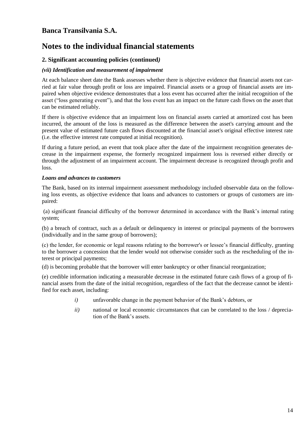## **Notes to the individual financial statements**

### **2. Significant accounting policies (continued***)*

### *(vii) Identification and measurement of impairment*

At each balance sheet date the Bank assesses whether there is objective evidence that financial assets not carried at fair value through profit or loss are impaired. Financial assets or a group of financial assets are impaired when objective evidence demonstrates that a loss event has occurred after the initial recognition of the asset ("loss generating event"), and that the loss event has an impact on the future cash flows on the asset that can be estimated reliably.

If there is objective evidence that an impairment loss on financial assets carried at amortized cost has been incurred, the amount of the loss is measured as the difference between the asset's carrying amount and the present value of estimated future cash flows discounted at the financial asset's original effective interest rate (i.e. the effective interest rate computed at initial recognition).

If during a future period, an event that took place after the date of the impairment recognition generates decrease in the impairment expense, the formerly recognized impairment loss is reversed either directly or through the adjustment of an impairment account. The impairment decrease is recognized through profit and loss.

### *Loans and advances to customers*

The Bank, based on its internal impairment assessment methodology included observable data on the following loss events, as objective evidence that loans and advances to customers or groups of customers are impaired:

(a) significant financial difficulty of the borrower determined in accordance with the Bank's internal rating system;

(b) a breach of contract, such as a default or delinquency in interest or principal payments of the borrowers (individually and in the same group of borrowers);

(c) the lender, for economic or legal reasons relating to the borrower's or lessee's financial difficulty, granting to the borrower a concession that the lender would not otherwise consider such as the rescheduling of the interest or principal payments;

(d) is becoming probable that the borrower will enter bankruptcy or other financial reorganization;

(e) credible information indicating a measurable decrease in the estimated future cash flows of a group of financial assets from the date of the initial recognition, regardless of the fact that the decrease cannot be identified for each asset, including:

- *i)* unfavorable change in the payment behavior of the Bank's debtors, or
- *ii*) national or local economic circumstances that can be correlated to the loss / depreciation of the Bank's assets.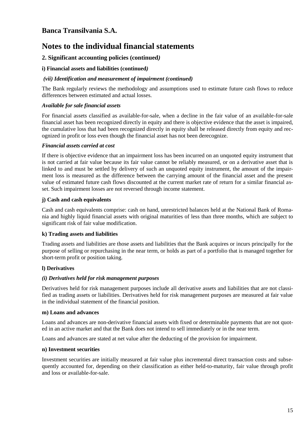## **Notes to the individual financial statements**

### **2. Significant accounting policies (continued***)*

### **i) Financial assets and liabilities (continued***)*

### *(vii) Identification and measurement of impairment (continued)*

The Bank regularly reviews the methodology and assumptions used to estimate future cash flows to reduce differences between estimated and actual losses.

### *Available for sale financial assets*

For financial assets classified as available-for-sale, when a decline in the fair value of an available-for-sale financial asset has been recognized directly in equity and there is objective evidence that the asset is impaired, the cumulative loss that had been recognized directly in equity shall be released directly from equity and recognized in profit or loss even though the financial asset has not been derecognize.

### *Financial assets carried at cost*

If there is objective evidence that an impairment loss has been incurred on an unquoted equity instrument that is not carried at fair value because its fair value cannot be reliably measured, or on a derivative asset that is linked to and must be settled by delivery of such an unquoted equity instrument, the amount of the impairment loss is measured as the difference between the carrying amount of the financial asset and the present value of estimated future cash flows discounted at the current market rate of return for a similar financial asset. Such impairment losses are not reversed through income statement.

### **j) Cash and cash equivalents**

Cash and cash equivalents comprise: cash on hand, unrestricted balances held at the National Bank of Romania and highly liquid financial assets with original maturities of less than three months, which are subject to significant risk of fair value modification.

### **k) Trading assets and liabilities**

Trading assets and liabilities are those assets and liabilities that the Bank acquires or incurs principally for the purpose of selling or repurchasing in the near term, or holds as part of a portfolio that is managed together for short-term profit or position taking.

### **l) Derivatives**

### *(i) Derivatives held for risk management purposes*

Derivatives held for risk management purposes include all derivative assets and liabilities that are not classified as trading assets or liabilities. Derivatives held for risk management purposes are measured at fair value in the individual statement of the financial position.

#### **m) Loans and advances**

Loans and advances are non-derivative financial assets with fixed or determinable payments that are not quoted in an active market and that the Bank does not intend to sell immediately or in the near term.

Loans and advances are stated at net value after the deducting of the provision for impairment.

#### **n) Investment securities**

Investment securities are initially measured at fair value plus incremental direct transaction costs and subsequently accounted for, depending on their classification as either held-to-maturity, fair value through profit and loss or available-for-sale.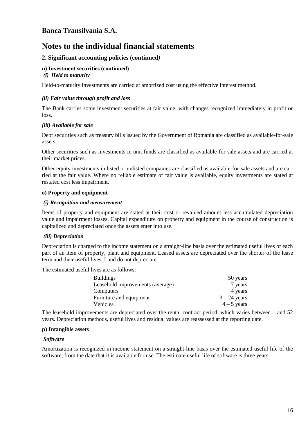## **Notes to the individual financial statements**

### **2. Significant accounting policies (continued***)*

### **n) Investment securities (continued)**

#### *(i) Held to maturity*

Held-to-maturity investments are carried at amortized cost using the effective interest method.

### *(ii) Fair value through profit and loss*

The Bank carries some investment securities at fair value, with changes recognized immediately in profit or loss.

### *(iii) Available for sale*

Debt securities such as treasury bills issued by the Government of Romania are classified as available-for-sale assets.

Other securities such as investments in unit funds are classified as available-for-sale assets and are carried at their market prices.

Other equity investments in listed or unlisted companies are classified as available-for-sale assets and are carried at the fair value. Where no reliable estimate of fair value is available, equity investments are stated at restated cost less impairment.

### **o) Property and equipment**

#### *(i) Recognition and measurement*

Items of property and equipment are stated at their cost or revalued amount less accumulated depreciation value and impairment losses. Capital expenditure on property and equipment in the course of construction is capitalized and depreciated once the assets enter into use.

#### *(iii) Depreciation*

Depreciation is charged to the income statement on a straight-line basis over the estimated useful lives of each part of an item of property, plant and equipment. Leased assets are depreciated over the shorter of the lease term and their useful lives. Land do not depreciate.

The estimated useful lives are as follows:

| <b>Buildings</b>                 | 50 years       |
|----------------------------------|----------------|
| Leasehold improvements (average) | 7 years        |
| Computers                        | 4 years        |
| Furniture and equipment          | $3 - 24$ years |
| Vehicles                         | $4 - 5$ years  |

The leasehold improvements are depreciated over the rental contract period, which varies between 1 and 52 years. Depreciation methods, useful lives and residual values are reassessed at the reporting date.

#### **p) Intangible assets**

#### *Software*

Amortization is recognized in income statement on a straight-line basis over the estimated useful life of the software, from the date that it is available for use. The estimate useful life of software is three years.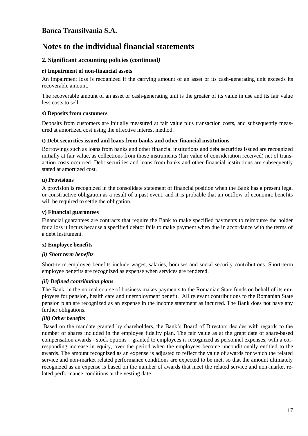## **Notes to the individual financial statements**

### **2. Significant accounting policies (continued***)*

### **r) Impairment of non-financial assets**

An impairment loss is recognized if the carrying amount of an asset or its cash-generating unit exceeds its recoverable amount.

The recoverable amount of an asset or cash-generating unit is the greater of its value in use and its fair value less costs to sell.

### **s) Deposits from customers**

Deposits from customers are initially measured at fair value plus transaction costs, and subsequently measured at amortized cost using the effective interest method.

### **t) Debt securities issued and loans from banks and other financial institutions**

Borrowings such as loans from banks and other financial institutions and debt securities issued are recognized initially at fair value, as collections from those instruments (fair value of consideration received) net of transaction costs occurred. Debt securities and loans from banks and other financial institutions are subsequently stated at amortized cost.

### **u) Provisions**

A provision is recognized in the consolidate statement of financial position when the Bank has a present legal or constructive obligation as a result of a past event, and it is probable that an outflow of economic benefits will be required to settle the obligation.

### **v) Financial guarantees**

Financial guarantees are contracts that require the Bank to make specified payments to reimburse the holder for a loss it incurs because a specified debtor fails to make payment when due in accordance with the terms of a debt instrument.

#### **x) Employee benefits**

### *(i) Short term benefits*

Short-term employee benefits include wages, salaries, bonuses and social security contributions. Short-term employee benefits are recognized as expense when services are rendered.

### *(ii) Defined contribution plans*

The Bank, in the normal course of business makes payments to the Romanian State funds on behalf of its employees for pension, health care and unemployment benefit. All relevant contributions to the Romanian State pension plan are recognized as an expense in the income statement as incurred. The Bank does not have any further obligations.

### *(iii) Other benefits*

Based on the mandate granted by shareholders, the Bank's Board of Directors decides with regards to the number of shares included in the employee fidelity plan. The fair value as at the grant date of share-based compensation awards - stock options – granted to employees is recognized as personnel expenses, with a corresponding increase in equity, over the period when the employees become unconditionally entitled to the awards. The amount recognized as an expense is adjusted to reflect the value of awards for which the related service and non-market related performance conditions are expected to be met, so that the amount ultimately recognized as an expense is based on the number of awards that meet the related service and non-market related performance conditions at the vesting date.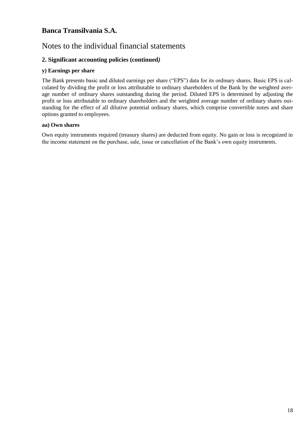## Notes to the individual financial statements

### **2. Significant accounting policies (continued***)*

### **y) Earnings per share**

The Bank presents basic and diluted earnings per share ("EPS") data for its ordinary shares. Basic EPS is calculated by dividing the profit or loss attributable to ordinary shareholders of the Bank by the weighted average number of ordinary shares outstanding during the period. Diluted EPS is determined by adjusting the profit or loss attributable to ordinary shareholders and the weighted average number of ordinary shares outstanding for the effect of all dilutive potential ordinary shares, which comprise convertible notes and share options granted to employees.

### **aa) Own shares**

Own equity instruments required (treasury shares) are deducted from equity. No gain or loss is recognized in the income statement on the purchase, sale, issue or cancellation of the Bank's own equity instruments.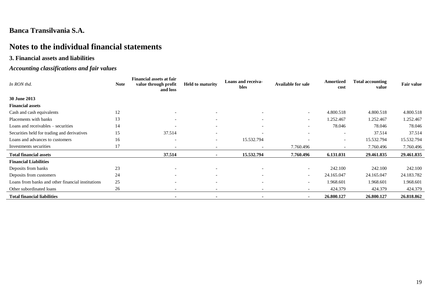# **Notes to the individual financial statements**

### **3. Financial assets and liabilities**

### *Accounting classifications and fair values*

| In RON thd.                                       | <b>Note</b> | <b>Financial assets at fair</b><br>value through profit<br>and loss | <b>Held to maturity</b>  | Loans and receiva-<br>bles | <b>Available for sale</b> | Amortized<br>cost        | <b>Total accounting</b><br>value | <b>Fair value</b> |
|---------------------------------------------------|-------------|---------------------------------------------------------------------|--------------------------|----------------------------|---------------------------|--------------------------|----------------------------------|-------------------|
| 30 June 2013                                      |             |                                                                     |                          |                            |                           |                          |                                  |                   |
| <b>Financial assets</b>                           |             |                                                                     |                          |                            |                           |                          |                                  |                   |
| Cash and cash equivalents                         | 12          | $\overline{\phantom{0}}$                                            | $\overline{\phantom{0}}$ |                            | $\sim$                    | 4.800.518                | 4.800.518                        | 4.800.518         |
| Placements with banks                             | 13          |                                                                     |                          |                            | $\sim$                    | 1.252.467                | 1.252.467                        | 1.252.467         |
| Loans and receivables – securities                | 14          |                                                                     |                          |                            | $\overline{\phantom{0}}$  | 78.046                   | 78.046                           | 78.046            |
| Securities held for trading and derivatives       | 15          | 37.514                                                              | $\overline{\phantom{0}}$ |                            |                           | $\overline{\phantom{a}}$ | 37.514                           | 37.514            |
| Loans and advances to customers                   | 16          | $\overline{\phantom{a}}$                                            | $\overline{\phantom{a}}$ | 15.532.794                 | $\overline{\phantom{a}}$  | $\overline{\phantom{a}}$ | 15.532.794                       | 15.532.794        |
| Investments securities                            | 17          | $\overline{\phantom{0}}$                                            |                          |                            | 7.760.496                 | $\overline{\phantom{a}}$ | 7.760.496                        | 7.760.496         |
| <b>Total financial assets</b>                     |             | 37.514                                                              | $\blacksquare$           | 15.532.794                 | 7.760.496                 | 6.131.031                | 29.461.835                       | 29.461.835        |
| <b>Financial Liabilities</b>                      |             |                                                                     |                          |                            |                           |                          |                                  |                   |
| Deposits from banks                               | 23          | $\overline{\phantom{0}}$                                            |                          |                            | $\overline{\phantom{a}}$  | 242.100                  | 242.100                          | 242.100           |
| Deposits from customers                           | 24          |                                                                     |                          |                            | $\overline{\phantom{a}}$  | 24.165.047               | 24.165.047                       | 24.183.782        |
| Loans from banks and other financial institutions | 25          |                                                                     |                          |                            | $\overline{\phantom{0}}$  | 1.968.601                | 1.968.601                        | 1.968.601         |
| Other subordinated loans                          | 26          | $\overline{\phantom{0}}$                                            | $\overline{\phantom{0}}$ |                            | $\overline{\phantom{0}}$  | 424.379                  | 424.379                          | 424.379           |
| <b>Total financial liabilities</b>                |             |                                                                     |                          |                            | $\sim$                    | 26.800.127               | 26.800.127                       | 26.818.862        |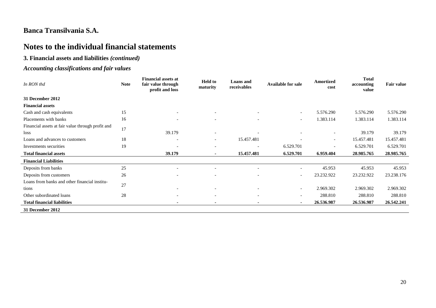# **Notes to the individual financial statements**

### **3. Financial assets and liabilities** *(continued)*

### *Accounting classifications and fair values*

| In RON thd                                        | <b>Note</b> | <b>Financial assets at</b><br>fair value through<br>profit and loss | <b>Held to</b><br>maturity | <b>Loans</b> and<br>receivables | <b>Available for sale</b> | <b>Amortized</b><br>cost | <b>Total</b><br>accounting<br>value | <b>Fair value</b> |
|---------------------------------------------------|-------------|---------------------------------------------------------------------|----------------------------|---------------------------------|---------------------------|--------------------------|-------------------------------------|-------------------|
| 31 December 2012                                  |             |                                                                     |                            |                                 |                           |                          |                                     |                   |
| <b>Financial assets</b>                           |             |                                                                     |                            |                                 |                           |                          |                                     |                   |
| Cash and cash equivalents                         | 15          | $\overline{\phantom{a}}$                                            |                            |                                 | $\overline{\phantom{a}}$  | 5.576.290                | 5.576.290                           | 5.576.290         |
| Placements with banks                             | 16          | $\overline{\phantom{0}}$                                            | $\overline{\phantom{a}}$   |                                 | $\sim$                    | 1.383.114                | 1.383.114                           | 1.383.114         |
| Financial assets at fair value through profit and | 17          |                                                                     |                            |                                 |                           |                          |                                     |                   |
| loss                                              |             | 39.179                                                              | $\overline{\phantom{a}}$   |                                 |                           | $\overline{\phantom{a}}$ | 39.179                              | 39.179            |
| Loans and advances to customers                   | 18          |                                                                     | $\overline{\phantom{a}}$   | 15.457.481                      |                           | $\overline{\phantom{a}}$ | 15.457.481                          | 15.457.481        |
| Investments securities                            | 19          | $\overline{\phantom{a}}$                                            | $\overline{\phantom{a}}$   |                                 | 6.529.701                 | $\overline{\phantom{a}}$ | 6.529.701                           | 6.529.701         |
| <b>Total financial assets</b>                     |             | 39.179                                                              | $\blacksquare$             | 15.457.481                      | 6.529.701                 | 6.959.404                | 28.985.765                          | 28.985.765        |
| <b>Financial Liabilities</b>                      |             |                                                                     |                            |                                 |                           |                          |                                     |                   |
| Deposits from banks                               | $25\,$      |                                                                     |                            |                                 | $\overline{\phantom{a}}$  | 45.953                   | 45.953                              | 45.953            |
| Deposits from customers                           | 26          |                                                                     |                            |                                 |                           | 23.232.922               | 23.232.922                          | 23.238.176        |
| Loans from banks and other financial institu-     | 27          |                                                                     |                            |                                 |                           |                          |                                     |                   |
| tions                                             |             | $\overline{\phantom{0}}$                                            | $\overline{\phantom{a}}$   |                                 | $\sim$                    | 2.969.302                | 2.969.302                           | 2.969.302         |
| Other subordinated loans                          | 28          | $\overline{\phantom{a}}$                                            | $\overline{\phantom{a}}$   |                                 | $\overline{\phantom{a}}$  | 288.810                  | 288.810                             | 288.810           |
| <b>Total financial liabilities</b>                |             | $\blacksquare$                                                      |                            |                                 | . .                       | 26.536.987               | 26.536.987                          | 26.542.241        |
| 31 December 2012                                  |             |                                                                     |                            |                                 |                           |                          |                                     |                   |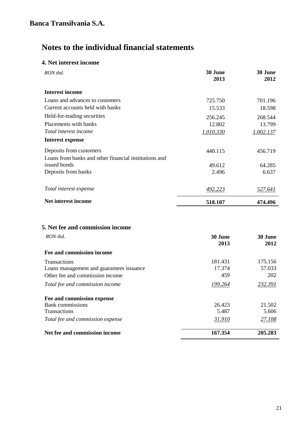### **4. Net interest income**

| RON thd.                                              | 30 June<br>2013 | <b>30 June</b><br>2012 |
|-------------------------------------------------------|-----------------|------------------------|
| <b>Interest income</b>                                |                 |                        |
| Loans and advances to customers                       | 725.750         | 701.196                |
| Current accounts held with banks                      | 15.533          | 18.598                 |
| Held-for-trading securities                           | 256.245         | 268.544                |
| Placements with banks                                 | 12.802          | 13.799                 |
| Total interest income                                 | 1.010.330       | 1.002.137              |
| Interest expense                                      |                 |                        |
| Deposits from customers                               | 440.115         | 456.719                |
| Loans from banks and other financial institutions and |                 |                        |
| issued bonds                                          | 49.612          | 64.285                 |
| Deposits from banks                                   | 2.496           | 6.637                  |
| Total interest expense                                | 492.223         | 527.641                |
| Net interest income                                   | 518.107         | 474.496                |

## **5. Net fee and commission income**

| RON thd.                                 | 30 June<br>2013 | 30 June<br>2012 |
|------------------------------------------|-----------------|-----------------|
| Fee and commission income                |                 |                 |
| <b>Transactions</b>                      | 181.431         | 175.156         |
| Loans management and guarantees issuance | 17.374          | 57.033          |
| Other fee and commission income          | 459             | 202             |
| Total fee and commission income          | 199.264         | 232.391         |
| Fee and commission expense               |                 |                 |
| <b>Bank</b> commissions                  | 26.423          | 21.502          |
| <b>Transactions</b>                      | 5.487           | 5.606           |
| Total fee and commission expense         | 31.910          | 27.108          |
| Net fee and commission income            | 167.354         | 205.283         |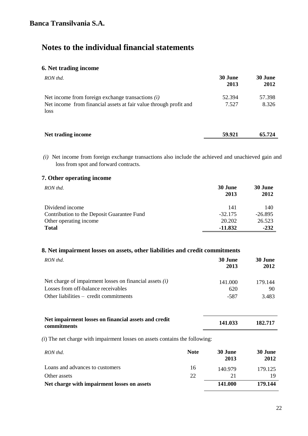### **6. Net trading income**

| RON thd.                                                                                                                         | 30 June<br>2013 | 30 June<br>2012 |
|----------------------------------------------------------------------------------------------------------------------------------|-----------------|-----------------|
| Net income from foreign exchange transactions $(i)$<br>Net income from financial assets at fair value through profit and<br>loss | 52.394<br>7.527 | 57.398<br>8.326 |
| Net trading income                                                                                                               | 59.921          | 65.724          |

*(i)* Net income from foreign exchange transactions also include the achieved and unachieved gain and loss from spot and forward contracts.

### **7. Other operating income**

| RON thd.                                   | 30 June<br>2013 | 30 June<br>2012 |
|--------------------------------------------|-----------------|-----------------|
| Dividend income                            | 141             | 140             |
| Contribution to the Deposit Guarantee Fund | $-32.175$       | $-26.895$       |
| Other operating income                     | 20.202          | 26.523          |
| <b>Total</b>                               | $-11.832$       | $-232$          |

### **8. Net impairment losses on assets, other liabilities and credit commitments**

| RON thd.                                                                                         | <b>30 June</b><br>2013 | 30 June<br>2012 |
|--------------------------------------------------------------------------------------------------|------------------------|-----------------|
| Net charge of impairment losses on financial assets $(i)$<br>Losses from off-balance receivables | 141.000<br>620         | 179.144<br>90   |
| Other liabilities – credit commitments                                                           | -587                   | 3.483           |

| Net impairment losses on financial assets and credit | 141.033 | 182.717 |
|------------------------------------------------------|---------|---------|
| commitments                                          |         |         |

*(i*) The net charge with impairment losses on assets contains the following:

| RON thd.                                    | <b>Note</b> | 30 June<br>2013 | 30 June<br>2012 |
|---------------------------------------------|-------------|-----------------|-----------------|
| Loans and advances to customers             | 16          | 140.979         | 179.125         |
| Other assets                                | 22          | 21              |                 |
| Net charge with impairment losses on assets |             | 141.000         | 179.144         |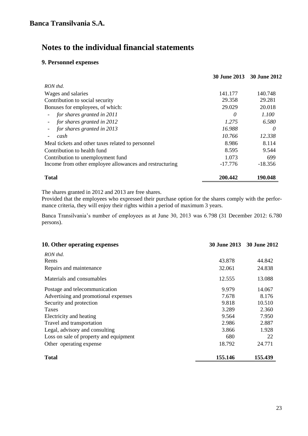### **9. Personnel expenses**

|                                                         | 30 June 2013 30 June 2012 |           |
|---------------------------------------------------------|---------------------------|-----------|
| RON thd.                                                |                           |           |
| Wages and salaries                                      | 141.177                   | 140.748   |
| Contribution to social security                         | 29.358                    | 29.281    |
| Bonuses for employees, of which:                        | 29.029                    | 20.018    |
| for shares granted in 2011                              | 0                         | 1.100     |
| for shares granted in 2012<br>$\overline{\phantom{a}}$  | 1.275                     | 6.580     |
| for shares granted in 2013                              | 16.988                    | 0         |
| cash                                                    | 10.766                    | 12.338    |
| Meal tickets and other taxes related to personnel       | 8.986                     | 8.114     |
| Contribution to health fund                             | 8.595                     | 9.544     |
| Contribution to unemployment fund                       | 1.073                     | 699       |
| Income from other employee allowances and restructuring | $-17.776$                 | $-18.356$ |
| <b>Total</b>                                            | 200.442                   | 190.048   |

The shares granted in 2012 and 2013 are free shares.

Provided that the employees who expressed their purchase option for the shares comply with the performance criteria, they will enjoy their rights within a period of maximum 3 years.

Banca Transilvania's number of employees as at June 30, 2013 was 6.798 (31 December 2012: 6.780 persons).

| 10. Other operating expenses           | <b>30 June 2013</b> | 30 June 2012 |
|----------------------------------------|---------------------|--------------|
| RON thd.                               |                     |              |
| Rents                                  | 43.878              | 44.842       |
| Repairs and maintenance                | 32.061              | 24.838       |
| Materials and consumables              | 12.555              | 13.088       |
| Postage and telecommunication          | 9.979               | 14.067       |
| Advertising and promotional expenses   | 7.678               | 8.176        |
| Security and protection                | 9.818               | 10.510       |
| <b>Taxes</b>                           | 3.289               | 2.360        |
| Electricity and heating                | 9.564               | 7.950        |
| Travel and transportation              | 2.986               | 2.887        |
| Legal, advisory and consulting         | 3.866               | 1.928        |
| Loss on sale of property and equipment | 680                 | 22           |
| Other operating expense                | 18.792              | 24.771       |
| <b>Total</b>                           | 155.146             | 155.439      |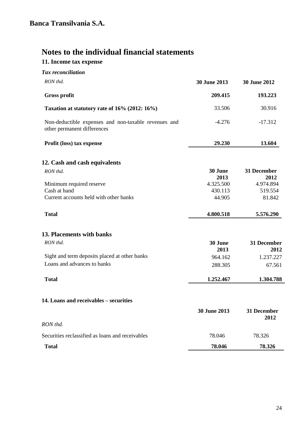# **11. Income tax expense**

| <b>Tax</b> reconciliation                                                           |                 |                     |
|-------------------------------------------------------------------------------------|-----------------|---------------------|
| RON thd.                                                                            | 30 June 2013    | 30 June 2012        |
| <b>Gross profit</b>                                                                 | 209.415         | 193.223             |
| Taxation at statutory rate of 16% (2012: 16%)                                       | 33.506          | 30.916              |
| Non-deductible expenses and non-taxable revenues and<br>other permanent differences | $-4.276$        | $-17.312$           |
| Profit (loss) tax expense                                                           | 29.230          | 13.604              |
| 12. Cash and cash equivalents                                                       |                 |                     |
| RON thd.                                                                            | 30 June<br>2013 | 31 December<br>2012 |
| Minimum required reserve                                                            | 4.325.500       | 4.974.894           |
| Cash at hand                                                                        | 430.113         | 519.554             |
| Current accounts held with other banks                                              | 44.905          | 81.842              |
| <b>Total</b>                                                                        | 4.800.518       | 5.576.290           |
| 13. Placements with banks                                                           |                 |                     |
| RON thd.                                                                            | 30 June<br>2013 | 31 December<br>2012 |
| Sight and term deposits placed at other banks                                       | 964.162         | 1.237.227           |
| Loans and advances to banks                                                         | 288.305         | 67.561              |
| <b>Total</b>                                                                        | 1.252.467       | 1.304.788           |
| 14. Loans and receivables – securities                                              |                 |                     |
|                                                                                     | 30 June 2013    | 31 December<br>2012 |
| RON thd.                                                                            |                 |                     |
| Securities reclassified as loans and receivables                                    | 78.046          | 78.326              |
| <b>Total</b>                                                                        | 78.046          | 78.326              |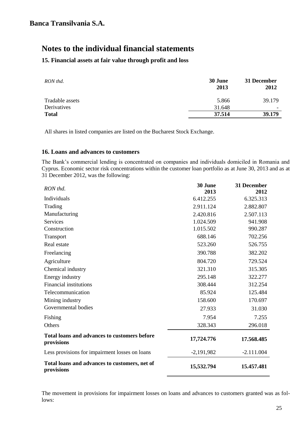### **15. Financial assets at fair value through profit and loss**

| 30 June<br>2013 | 31 December<br>2012 |
|-----------------|---------------------|
| 5.866           | 39.179              |
| 31.648          |                     |
| 37.514          | 39.179              |
|                 |                     |

All shares in listed companies are listed on the Bucharest Stock Exchange.

### **16. Loans and advances to customers**

The Bank's commercial lending is concentrated on companies and individuals domiciled in Romania and Cyprus. Economic sector risk concentrations within the customer loan portfolio as at June 30, 2013 and as at 31 December 2012, was the following:

| RON thd.                                                          | 30 June<br>2013 | 31 December<br>2012 |
|-------------------------------------------------------------------|-----------------|---------------------|
| Individuals                                                       | 6.412.255       | 6.325.313           |
| Trading                                                           | 2.911.124       | 2.882.807           |
| Manufacturing                                                     | 2.420.816       | 2.507.113           |
| <b>Services</b>                                                   | 1.024.509       | 941.908             |
| Construction                                                      | 1.015.502       | 990.287             |
| Transport                                                         | 688.146         | 702.256             |
| Real estate                                                       | 523.260         | 526.755             |
| Freelancing                                                       | 390.788         | 382.202             |
| Agriculture                                                       | 804.720         | 729.524             |
| Chemical industry                                                 | 321.310         | 315.305             |
| Energy industry                                                   | 295.148         | 322.277             |
| <b>Financial institutions</b>                                     | 308.444         | 312.254             |
| Telecommunication                                                 | 85.924          | 125.484             |
| Mining industry                                                   | 158.600         | 170.697             |
| Governmental bodies                                               | 27.933          | 31.030              |
| Fishing                                                           | 7.954           | 7.255               |
| Others                                                            | 328.343         | 296.018             |
| <b>Total loans and advances to customers before</b><br>provisions | 17,724.776      | 17.568.485          |
| Less provisions for impairment losses on loans                    | $-2,191,982$    | $-2.111.004$        |
| Total loans and advances to customers, net of<br>provisions       | 15,532.794      | 15.457.481          |

The movement in provisions for impairment losses on loans and advances to customers granted was as follows: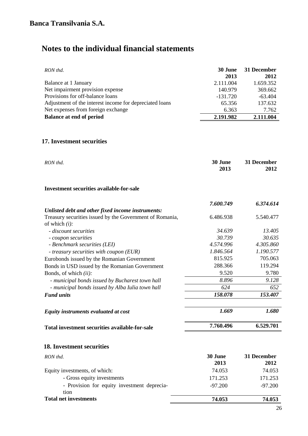| RON thd.                                                | 30 June<br>2013 | 31 December<br>2012 |
|---------------------------------------------------------|-----------------|---------------------|
| Balance at 1 January                                    | 2.111.004       | 1.659.352           |
| Net impairment provision expense                        | 140.979         | 369.662             |
| Provisions for off-balance loans                        | $-131.720$      | $-63.404$           |
| Adjustment of the interest income for depreciated loans | 65.356          | 137.632             |
| Net expenses from foreign exchange                      | 6.363           | 7.762               |
| <b>Balance at end of period</b>                         | 2.191.982       | 2.111.004           |

### **17. Investment securities**

| RON thd.                                                                     | 30 June<br>2013 | 31 December<br>2012 |
|------------------------------------------------------------------------------|-----------------|---------------------|
| <b>Investment securities available-for-sale</b>                              |                 |                     |
|                                                                              | 7.600.749       | 6.374.614           |
| Unlisted debt and other fixed income instruments:                            |                 |                     |
| Treasury securities issued by the Government of Romania,<br>of which $(i)$ : | 6.486.938       | 5.540.477           |
| - discount securities                                                        | 34.639          | 13.405              |
| - coupon securities                                                          | 30.739          | 30.635              |
| - Benchmark securities (LEI)                                                 | 4.574.996       | 4.305.860           |
| - treasury securities with coupon (EUR)                                      | 1.846.564       | 1.190.577           |
| Eurobonds issued by the Romanian Government                                  | 815.925         | 705.063             |
| Bonds in USD issued by the Romanian Government                               | 288.366         | 119.294             |
| Bonds, of which <i>(ii)</i> :                                                | 9.520           | 9.780               |
| - municipal bonds issued by Bucharest town hall                              | 8.896           | 9.128               |
| - municipal bonds issued by Alba Iulia town hall                             | 624             | 652                 |
| <b>Fund units</b>                                                            | 158.078         | 153.407             |
| Equity instruments evaluated at cost                                         | 1.669           | 1.680               |
| Total investment securities available-for-sale                               | 7.760.496       | 6.529.701           |
| <b>18. Investment securities</b>                                             |                 |                     |
| RON thd.                                                                     | 30 June<br>2013 | 31 December<br>2012 |
| Equity investments, of which:                                                | 74.053          | 74.053              |
| - Gross equity investments                                                   | 171.253         | 171.253             |
| - Provision for equity investment deprecia-<br>tion                          | $-97.200$       | $-97.200$           |
| <b>Total net investments</b>                                                 | 74.053          | 74.053              |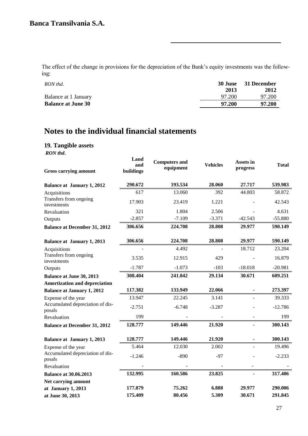The effect of the change in provisions for the depreciation of the Bank's equity investments was the following:

| RON thd.                  |        | 30 June 31 December |
|---------------------------|--------|---------------------|
|                           | 2013   | 2012                |
| Balance at 1 January      | 97.200 | 97.200              |
| <b>Balance at June 30</b> | 97.200 | 97.200              |
|                           |        |                     |

# **Notes to the individual financial statements**

### **19. Tangible assets**

*RON thd***.**

| <b>Gross carrying amount</b>               | Land<br>and<br>buildings | <b>Computers and</b><br>equipment | <b>Vehicles</b> | <b>Assets in</b><br>progress | Total     |
|--------------------------------------------|--------------------------|-----------------------------------|-----------------|------------------------------|-----------|
| <b>Balance at January 1, 2012</b>          | 290.672                  | 193.534                           | 28.060          | 27.717                       | 539.983   |
| Acquisitions                               | 617                      | 13.060                            | 392             | 44.803                       | 58.872    |
| Transfers from ongoing<br>investments      | 17.903                   | 23.419                            | 1.221           |                              | 42.543    |
| Revaluation                                | 321                      | 1.804                             | 2.506           |                              | 4.631     |
| Outputs                                    | $-2.857$                 | $-7.109$                          | $-3.371$        | $-42.543$                    | $-55.880$ |
| <b>Balance at December 31, 2012</b>        | 306.656                  | 224.708                           | 28.808          | 29.977                       | 590.149   |
| <b>Balance at January 1, 2013</b>          | 306.656                  | 224.708                           | 28.808          | 29.977                       | 590.149   |
| Acquisitions                               |                          | 4.492                             |                 | 18.712                       | 23.204    |
| Transfers from ongoing<br>investments      | 3.535                    | 12.915                            | 429             |                              | 16.879    |
| Outputs                                    | $-1.787$                 | $-1.073$                          | $-103$          | $-18.018$                    | $-20.981$ |
| <b>Balance at June 30, 2013</b>            | 308.404                  | 241.042                           | 29.134          | 30.671                       | 609.251   |
| <b>Amortization and depreciation</b>       |                          |                                   |                 |                              |           |
| <b>Balance at January 1, 2012</b>          | 117.382                  | 133.949                           | 22.066          |                              | 273.397   |
| Expense of the year                        | 13.947                   | 22.245                            | 3.141           |                              | 39.333    |
| Accumulated depreciation of dis-<br>posals | $-2.751$                 | $-6.748$                          | $-3.287$        |                              | $-12.786$ |
| Revaluation                                | 199                      |                                   |                 |                              | 199       |
| <b>Balance at December 31, 2012</b>        | 128.777                  | 149.446                           | 21.920          |                              | 300.143   |
| <b>Balance at January 1, 2013</b>          | 128.777                  | 149.446                           | 21.920          | $\blacksquare$               | 300.143   |
| Expense of the year                        | 5.464                    | 12.030                            | 2.002           |                              | 19.496    |
| Accumulated depreciation of dis-<br>posals | $-1.246$                 | $-890$                            | $-97$           |                              | $-2.233$  |
| Revaluation                                |                          |                                   |                 |                              |           |
| <b>Balance at 30.06.2013</b>               | 132.995                  | 160.586                           | 23.825          |                              | 317.406   |
| Net carrying amount                        |                          |                                   |                 |                              |           |
| at January 1, 2013                         | 177.879                  | 75.262                            | 6.888           | 29.977                       | 290.006   |
| at June 30, 2013                           | 175.409                  | 80.456                            | 5.309           | 30.671                       | 291.845   |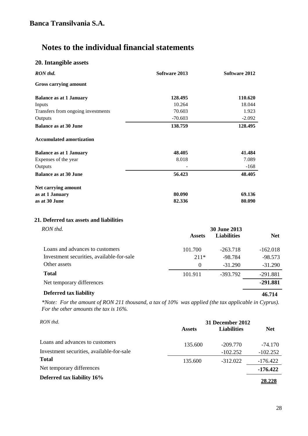### **20. Intangible assets**

| RON thd.                           | Software 2013 | Software 2012 |
|------------------------------------|---------------|---------------|
| <b>Gross carrying amount</b>       |               |               |
| <b>Balance as at 1 January</b>     | 128.495       | 110.620       |
| Inputs                             | 10.264        | 18.044        |
| Transfers from ongoing investments | 70.603        | 1.923         |
| Outputs                            | $-70.603$     | $-2.092$      |
| <b>Balance as at 30 June</b>       | 138.759       | 128.495       |
| <b>Accumulated amortization</b>    |               |               |
| <b>Balance as at 1 January</b>     | 48.405        | 41.484        |
| Expenses of the year               | 8.018         | 7.089         |
| Outputs                            |               | $-168$        |
| <b>Balance as at 30 June</b>       | 56.423        | 48.405        |
| Net carrying amount                |               |               |
| as at 1 January                    | 80.090        | 69.136        |
| as at 30 June                      | 82.336        | 80.090        |

### **21. Deferred tax assets and liabilities**

| RON thd.                                  | 30 June 2013  |                    |            |  |
|-------------------------------------------|---------------|--------------------|------------|--|
|                                           | <b>Assets</b> | <b>Liabilities</b> | <b>Net</b> |  |
| Loans and advances to customers           | 101.700       | $-263.718$         | $-162.018$ |  |
| Investment securities, available-for-sale | $211*$        | $-98.784$          | $-98.573$  |  |
| Other assets                              | $\theta$      | $-31.290$          | $-31.290$  |  |
| <b>Total</b>                              | 101.911       | -393.792           | $-291.881$ |  |
| Net temporary differences                 |               |                    | -291.881   |  |
| Deferred tax liability                    |               |                    | 46.714     |  |

*\*Note: For the amount of RON 211 thousand, a tax of 10% was applied (the tax applicable in Cyprus). For the other amounts the tax is 16%.* 

| RON thd.                                  |               | 31 December 2012   |            |  |  |
|-------------------------------------------|---------------|--------------------|------------|--|--|
|                                           | <b>Assets</b> | <b>Liabilities</b> | <b>Net</b> |  |  |
| Loans and advances to customers           | 135.600       | $-209.770$         | $-74.170$  |  |  |
| Investment securities, available-for-sale |               | $-102.252$         | $-102.252$ |  |  |
| <b>Total</b>                              | 135.600       | $-312.022$         | $-176.422$ |  |  |
| Net temporary differences                 |               |                    | $-176.422$ |  |  |
| Deferred tax liability 16%                |               |                    |            |  |  |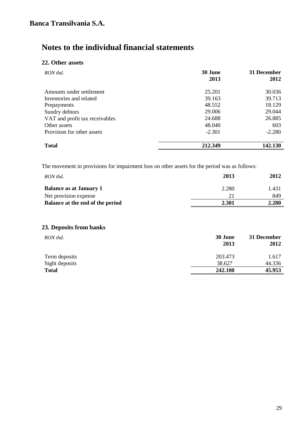### **22. Other assets**

| RON thd.                       | 30 June<br>2013 | 31 December<br>2012 |
|--------------------------------|-----------------|---------------------|
| Amounts under settlement       | 25.201          | 30.036              |
| Inventories and related        | 39.163          | 39.713              |
| Prepayments                    | 48.552          | 18.129              |
| Sundry debtors                 | 29.006          | 29.044              |
| VAT and profit tax receivables | 24.688          | 26.885              |
| Other assets                   | 48.040          | 603                 |
| Provision for other assets     | $-2.301$        | $-2.280$            |
| <b>Total</b>                   | 212.349         | 142.130             |

The movement in provisions for impairment loss on other assets for the period was as follows:

| RON thd.                         | 2013  | 2012  |
|----------------------------------|-------|-------|
| <b>Balance as at January 1</b>   | 2.280 | 1.431 |
| Net provision expense            | 21    | 849   |
| Balance at the end of the period | 2.301 | 2.280 |

### **23. Deposits from banks**

| RON thd.       | 30 June<br>2013 | 31 December<br>2012 |
|----------------|-----------------|---------------------|
| Term deposits  | 203.473         | 1.617               |
| Sight deposits | 38.627          | 44.336              |
| <b>Total</b>   | 242.100         | 45.953              |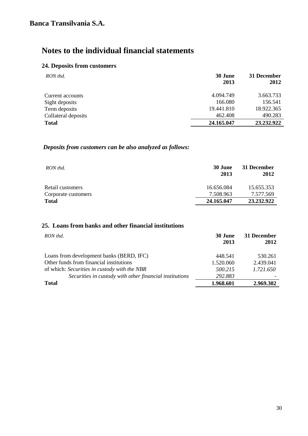### **24. Deposits from customers**

| RON thd.            | 30 June<br>2013 | 31 December<br>2012 |
|---------------------|-----------------|---------------------|
| Current accounts    | 4.094.749       | 3.663.733           |
| Sight deposits      | 166.080         | 156.541             |
| Term deposits       | 19.441.810      | 18.922.365          |
| Collateral deposits | 462.408         | 490.283             |
| <b>Total</b>        | 24.165.047      | 23.232.922          |

### *Deposits from customers can be also analyzed as follows:*

| RON thd.            | 30 June<br>2013 | 31 December<br>2012 |
|---------------------|-----------------|---------------------|
| Retail customers    | 16.656.084      | 15.655.353          |
| Corporate customers | 7.508.963       | 7.577.569           |
| <b>Total</b>        | 24.165.047      | 23.232.922          |

### **25. Loans from banks and other financial institutions**

| RON thd.                                                | 30 June<br>2013 | 31 December<br>2012 |
|---------------------------------------------------------|-----------------|---------------------|
| Loans from development banks (BERD, IFC)                | 448.541         | 530.261             |
| Other funds from financial institutions                 | 1.520.060       | 2.439.041           |
| of which: Securities in custody with the NBR            | 500.215         | 1.721.650           |
| Securities in custody with other financial institutions | 292.883         |                     |
| <b>Total</b>                                            | 1.968.601       | 2.969.302           |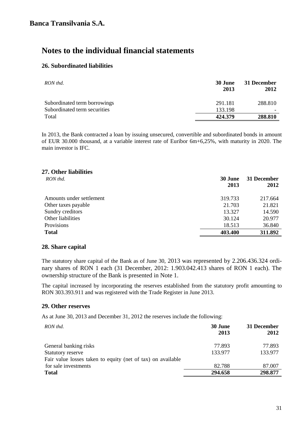### **26. Subordinated liabilities**

| RON thd.                     | <b>30 June</b><br>2013 | 31 December<br>2012 |
|------------------------------|------------------------|---------------------|
| Subordinated term borrowings | 291.181                | 288.810             |
| Subordinated term securities | 133.198                |                     |
| Total                        | 424.379                | 288.810             |

In 2013, the Bank contracted a loan by issuing unsecured, convertible and subordinated bonds in amount of EUR 30.000 thousand, at a variable interest rate of Euribor 6m+6,25%, with maturity in 2020. The main investor is IFC.

| <b>30 June</b> | 31 December |
|----------------|-------------|
|                | 2012        |
| 319.733        | 217.664     |
| 21.703         | 21.821      |
| 13.327         | 14.590      |
| 30.124         | 20.977      |
| 18.513         | 36.840      |
| 403.400        | 311.892     |
|                | 2013        |

### **28. Share capital**

The statutory share capital of the Bank as of June 30, 2013 was represented by 2.206.436.324 ordinary shares of RON 1 each (31 December, 2012: 1.903.042.413 shares of RON 1 each). The ownership structure of the Bank is presented in Note 1.

The capital increased by incorporating the reserves established from the statutory profit amounting to RON 303.393.911 and was registered with the Trade Register in June 2013.

### **29. Other reserves**

As at June 30, 2013 and December 31, 2012 the reserves include the following:

| RON thd.                                                    | 30 June<br>2013 | 31 December<br>2012 |
|-------------------------------------------------------------|-----------------|---------------------|
| General banking risks                                       | 77.893          | 77.893              |
| Statutory reserve                                           | 133.977         | 133.977             |
| Fair value losses taken to equity (net of tax) on available |                 |                     |
| for sale investments                                        | 82.788          | 87.007              |
| <b>Total</b>                                                | 294.658         | 298.877             |
|                                                             |                 |                     |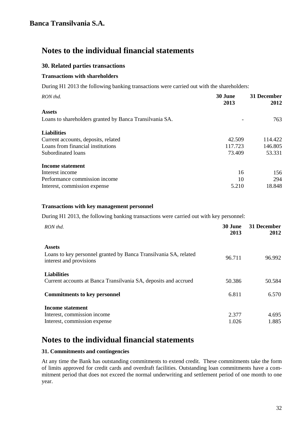### **30. Related parties transactions**

### **Transactions with shareholders**

During H1 2013 the following banking transactions were carried out with the shareholders:

| RON thd.                                                | 30 June<br>2013 | 31 December<br>2012 |
|---------------------------------------------------------|-----------------|---------------------|
| <b>Assets</b>                                           |                 |                     |
| Loans to shareholders granted by Banca Transilvania SA. |                 | 763                 |
| <b>Liabilities</b>                                      |                 |                     |
| Current accounts, deposits, related                     | 42.509          | 114.422             |
| Loans from financial institutions                       | 117.723         | 146.805             |
| Subordinated loans                                      | 73.409          | 53.331              |
| Income statement                                        |                 |                     |
| Interest income                                         | 16              | 156                 |
| Performance commission income                           | 10              | 294                 |
| Interest, commission expense                            | 5.210           | 18.848              |

### **Transactions with key management personnel**

During H1 2013, the following banking transactions were carried out with key personnel:

| RON thd.                                                                                                     | 30 June<br>2013 | 31 December<br>2012 |
|--------------------------------------------------------------------------------------------------------------|-----------------|---------------------|
| <b>Assets</b><br>Loans to key personnel granted by Banca Transilvania SA, related<br>interest and provisions | 96.711          | 96.992              |
| <b>Liabilities</b><br>Current accounts at Banca Transilvania SA, deposits and accrued                        | 50.386          | 50.584              |
| <b>Commitments to key personnel</b>                                                                          | 6.811           | 6.570               |
| <b>Income statement</b><br>Interest, commission income<br>Interest, commission expense                       | 2.377<br>1.026  | 4.695<br>1.885      |

## **Notes to the individual financial statements**

### **31. Commitments and contingencies**

At any time the Bank has outstanding commitments to extend credit. These commitments take the form of limits approved for credit cards and overdraft facilities. Outstanding loan commitments have a commitment period that does not exceed the normal underwriting and settlement period of one month to one year.